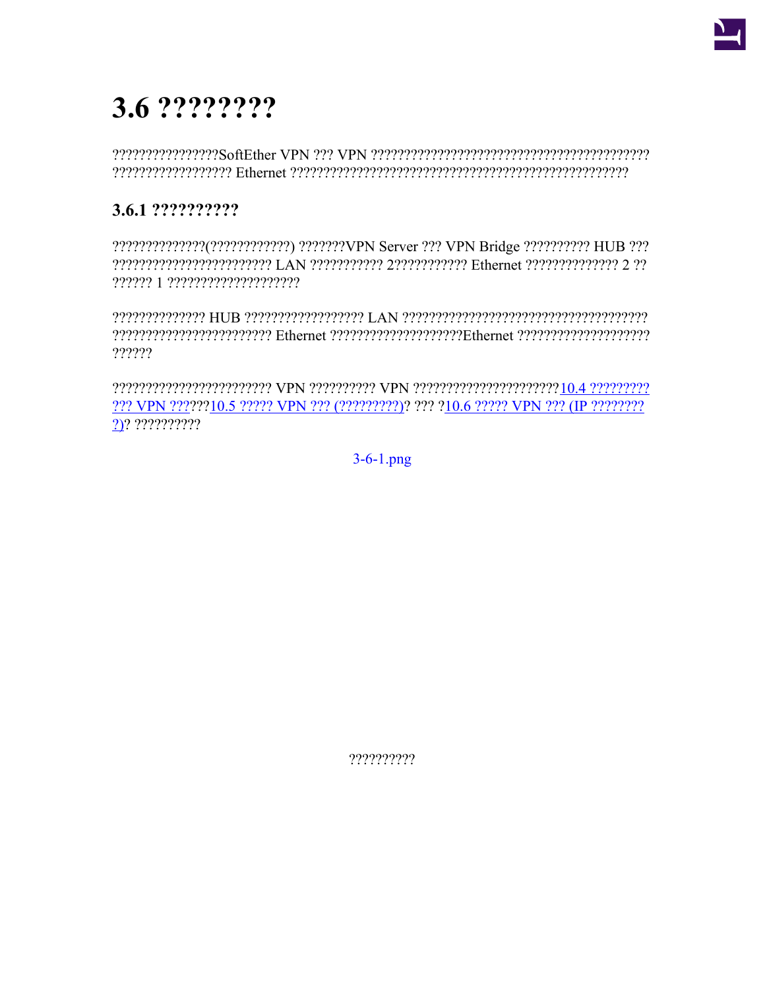

# 3.6 ????????

# 3.6.1 ??????????

??????????????(???????????) ???????VPN Server ??? VPN Bridge ?????????? HUB ??? ?????? 1 ????????????????????

??????

??? VPN ??????10.5 ????? VPN ??? (?????????)? ??? ?10.6 ????? VPN ??? (IP ?????????  $?)? ?? ?? ?? ?? ??$ 

 $3 - 6 - 1$ .png

??????????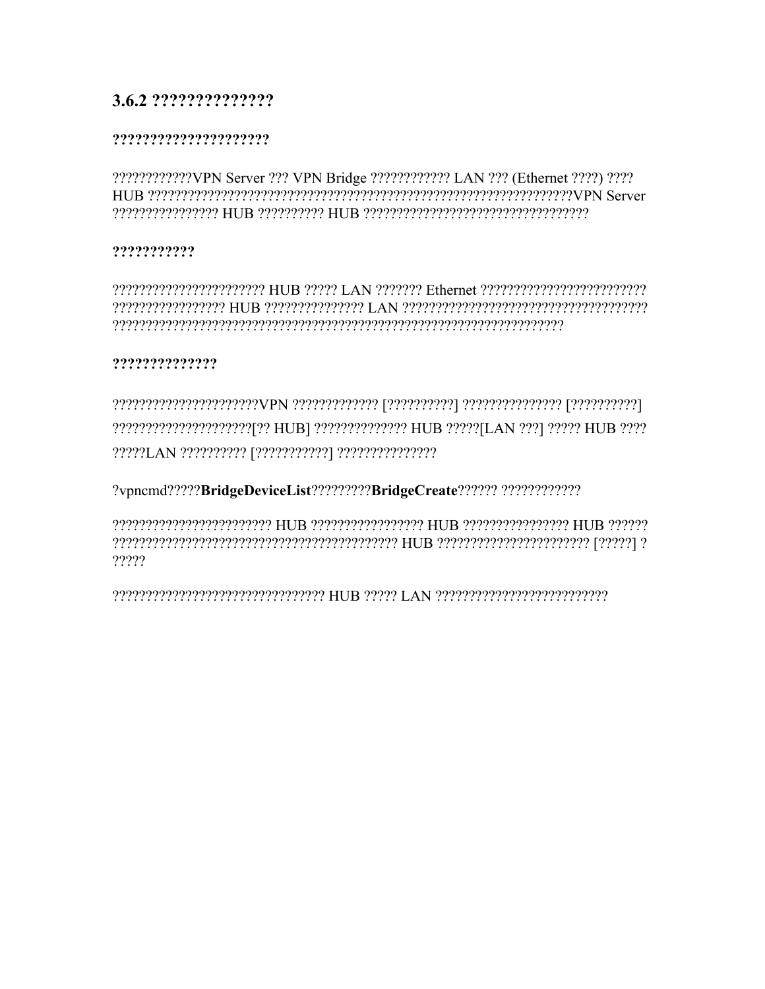# 3.6.2 ???????????????

#### ??????????????????????

??????????????VPN Server ??? VPN Bridge ???????????? LAN ??? (Ethernet ????) ???? 

#### ???????????

CONCORPT CONCORPT CONCORPT CONCORPT CONCORPT CONCORPT CONCORPT CONCORPT CONCORPT CONCORPT CONCORPT CONCORPT CO 

#### ??????????????

?????????????????????????? HUB] ?????????????? HUB ?????[LAN ???] ????? HUB ???? 

#### 

?????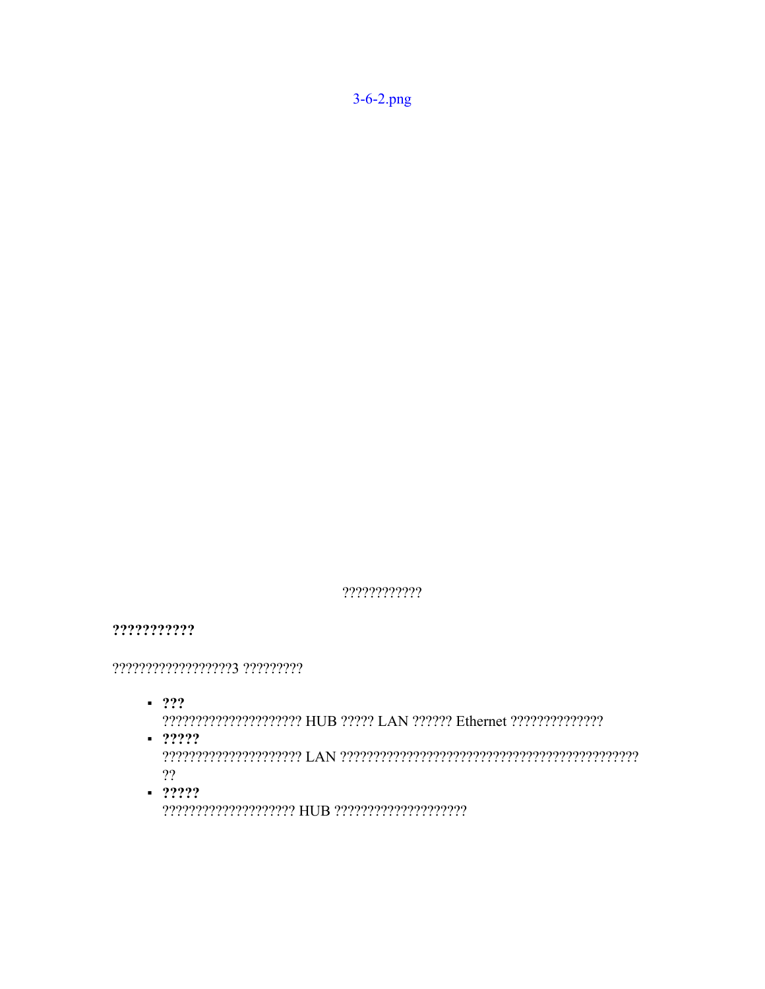# ????????????

???????????

#### ??????????????????3 ?????????

 $-222$ 

- $-22222$ ??
- $-22222$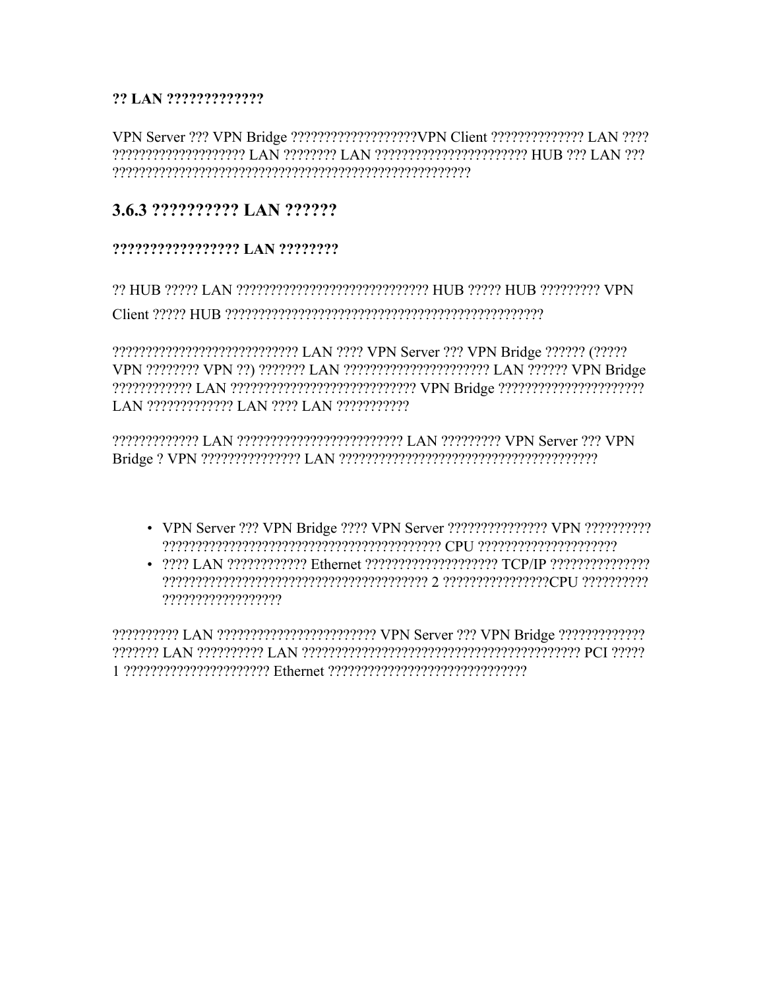# ?? LAN ?????????????

VPN Server ??? VPN Bridge ????????????????????VPN Client ??????????????? LAN ???? 

# 3.6.3 ?????????? LAN ??????

# ????????????????? LAN ????????

22 HUB 22222 LAN 222222222222222222222222222 HUB 22222 HUB 222222222 VPN 

???????????????????????????????? LAN ???? VPN Server ??? VPN Bridge ?????? (????? VPN ???????? VPN ??) ??????? LAN ??????????????????????? LAN ?????? VPN Bridge 

- VPN Server ??? VPN Bridge ???? VPN Server ??????????????? VPN ???????????
- ??????????????????

?????????? LAN ??????????????????????? VPN Server ??? VPN Bridge ???????????????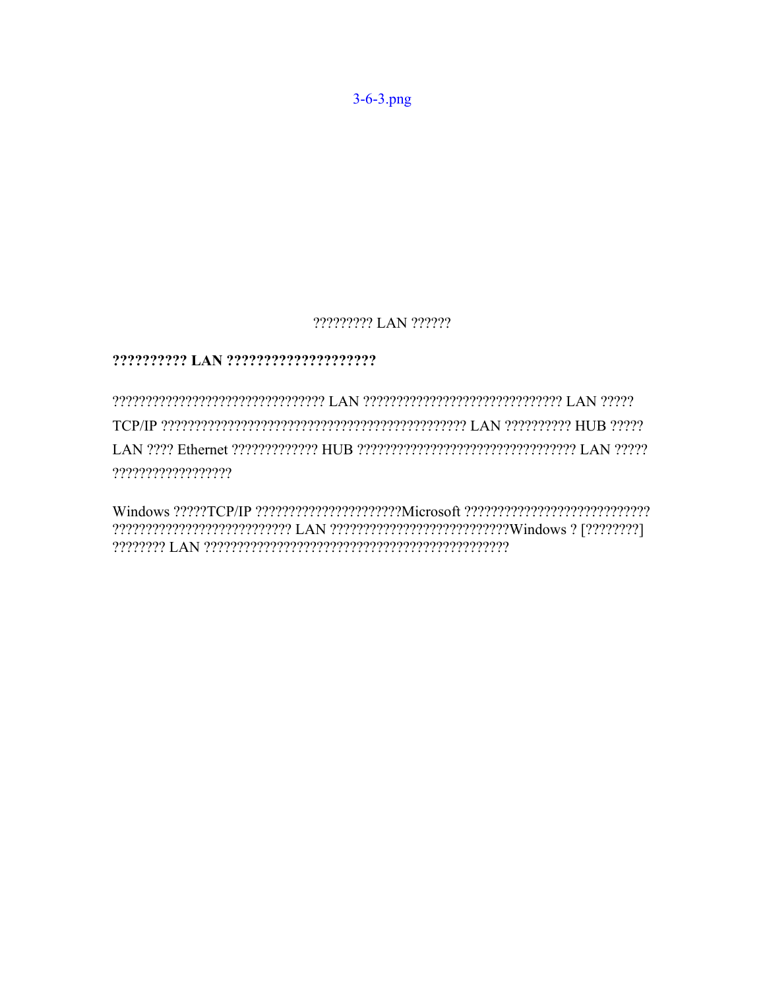$3 - 6 - 3$ .png

# ????????? LAN ??????

# 

??????????????????

Windows ?????TCP/IP ??????????????????????Microsoft ?????????????????????????????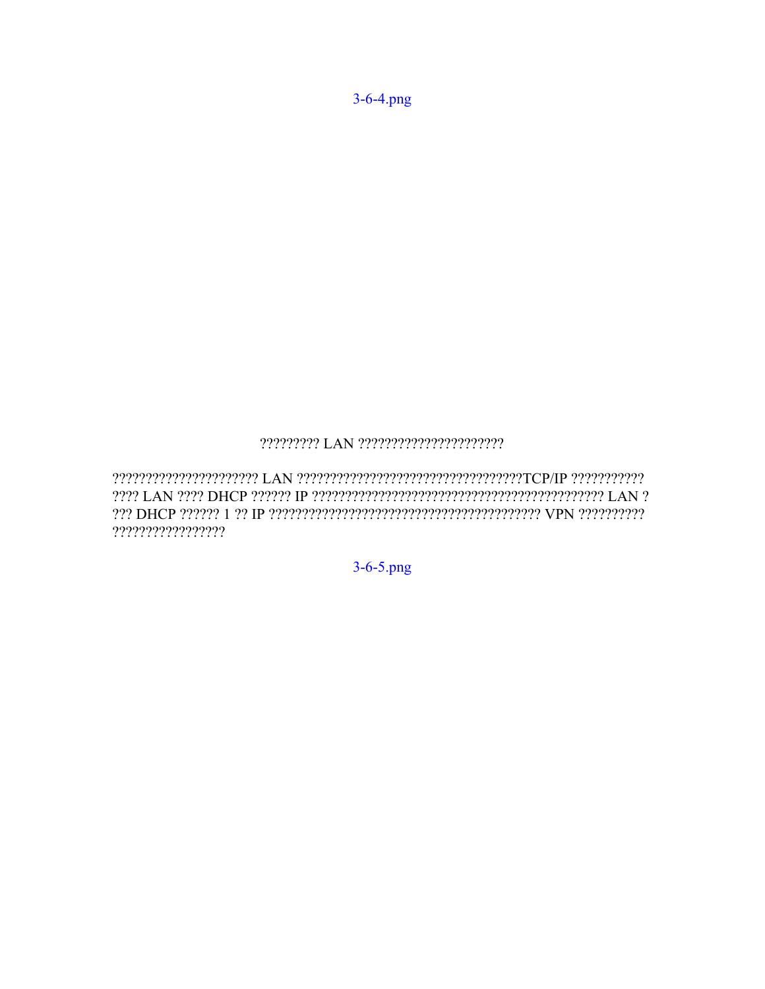$3 - 6 - 4$ .png

# 

?????????????????

 $3 - 6 - 5$ .png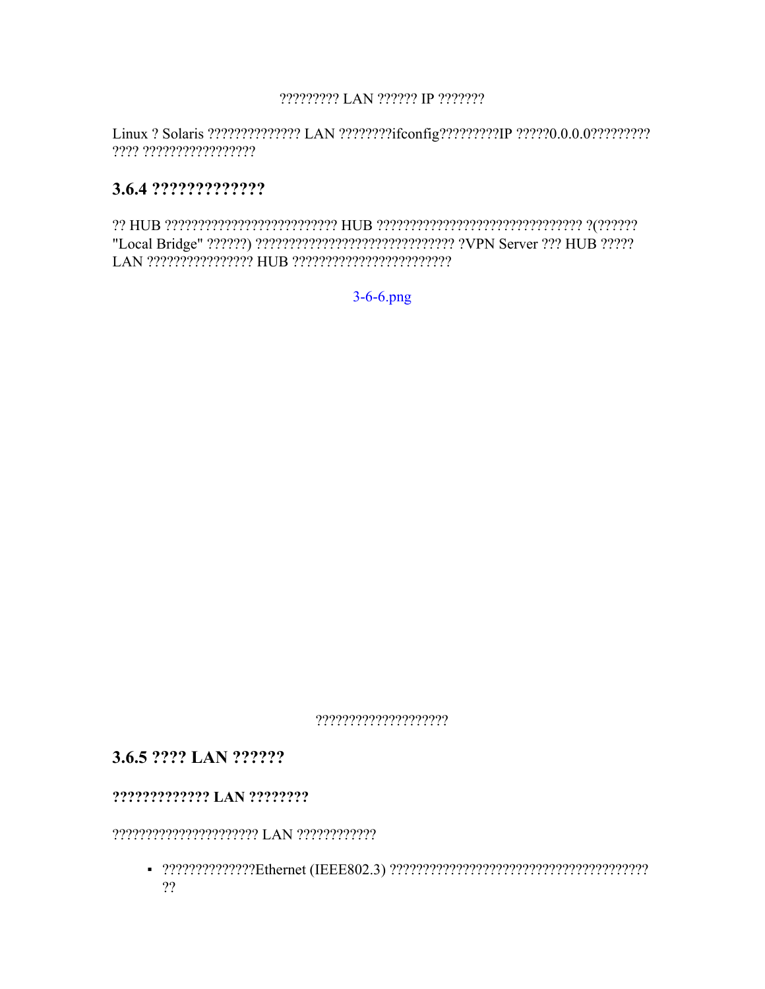#### 22222222 LAN 222222 IP 2222222

???? ?????????????????

# 3.6.4 ??????????????

 $3 - 6 - 6$ .png

?????????????????????

# 3.6.5 ???? LAN ??????

#### ????????????? LAN ????????

#### 

??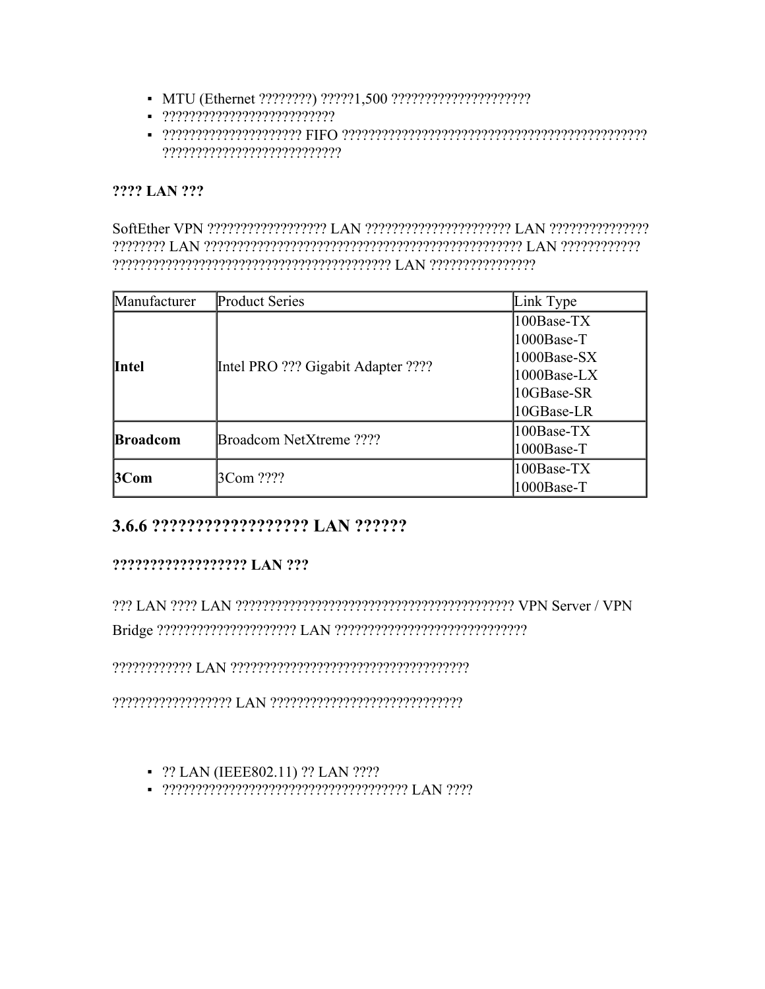- MTU (Ethernet ????????) ?????1,500 ?????????????????????
- ??????????????????????????
- ????????????????????? FIFO ?????????????????????????????????????????????? ???????????????????????????

### **???? LAN ???**

SoftEther VPN ?????????????????? LAN ?????????????????????? LAN ??????????????? ???????? LAN ???????????????????????????????????????????????? LAN ???????????? ?????????????????????????????????????????? LAN ????????????????

| Manufacturer    | <b>Product Series</b>              | Link Type                                                                              |
|-----------------|------------------------------------|----------------------------------------------------------------------------------------|
| <b>Intel</b>    | Intel PRO ??? Gigabit Adapter ???? | 100Base-TX<br>$1000Base-T$<br>$1000Base-SX$<br>1000Base-LX<br>10GBase-SR<br>10GBase-LR |
| <b>Broadcom</b> | Broadcom NetXtreme ????            | 100Base-TX<br>1000Base-T                                                               |
| 3Com            | 3Com ????                          | 100Base-TX<br>1000Base-T                                                               |

# **3.6.6 ?????????????????? LAN ??????**

# **?????????????????? LAN ???**

??? LAN ???? LAN ?????????????????????????????????????????? VPN Server / VPN Bridge ????????????????????? LAN ?????????????????????????????

???????????? LAN ????????????????????????????????????

?????????????????? LAN ?????????????????????????????

- ?? LAN (IEEE802.11) ?? LAN ????
- ????????????????????????????????????? LAN ????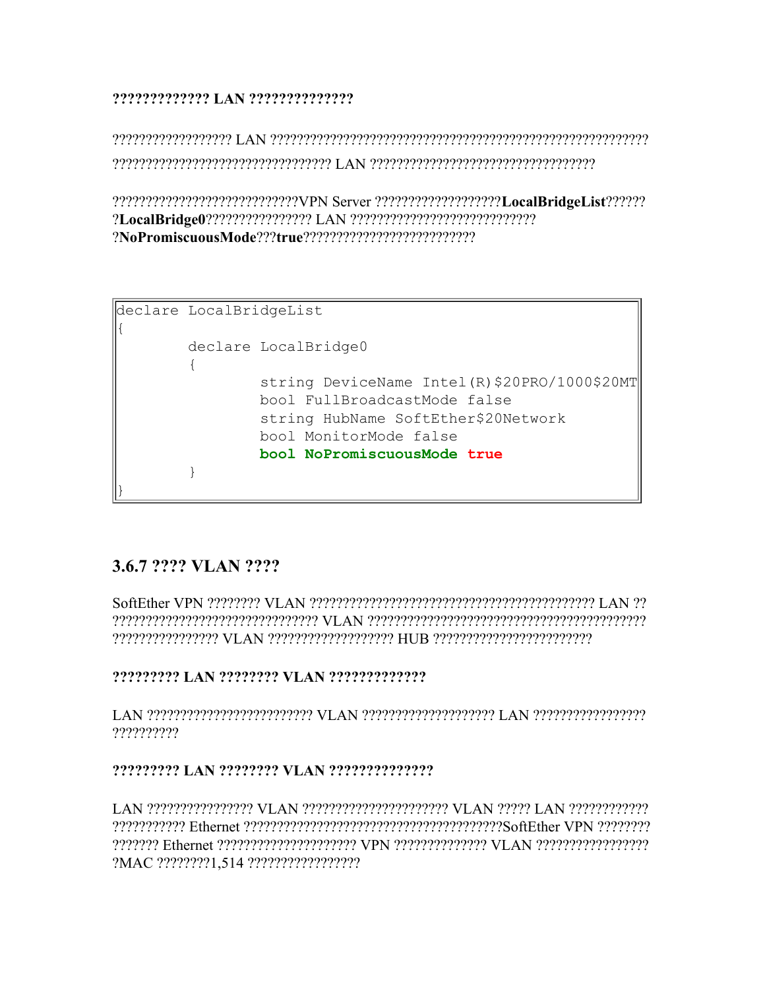# **????????????? LAN ??????????????**

?????????????????? LAN ????????????????????????????????????????????????????????? ????????????????????????????????? LAN ??????????????????????????????????

????????????????????????????VPN Server ???????????????????**LocalBridgeList**?????? ?**LocalBridge0**???????????????? LAN ???????????????????????????? ?**NoPromiscuousMode**???**true**??????????????????????????

```
declare LocalBridgeList
{
        declare LocalBridge0
        {
                string DeviceName Intel(R)$20PRO/1000$20MT
                bool FullBroadcastMode false
                string HubName SoftEther$20Network
                bool MonitorMode false
                bool NoPromiscuousMode true
        }
}
```
# **3.6.7 ???? VLAN ????**

SoftEther VPN ???????? VLAN ??????????????????????????????????????????? LAN ?? ??????????????????????????????? VLAN ?????????????????????????????????????????? ???????????????? VLAN ??????????????????? HUB ????????????????????????

**????????? LAN ???????? VLAN ?????????????**

LAN ????????????????????????? VLAN ???????????????????? LAN ????????????????? ??????????

# **????????? LAN ???????? VLAN ??????????????**

LAN ???????????????? VLAN ?????????????????????? VLAN ????? LAN ???????????? ??????????? Ethernet ???????????????????????????????????????SoftEther VPN ???????? ??????? Ethernet ????????????????????? VPN ?????????????? VLAN ????????????????? ?MAC ????????1,514 ?????????????????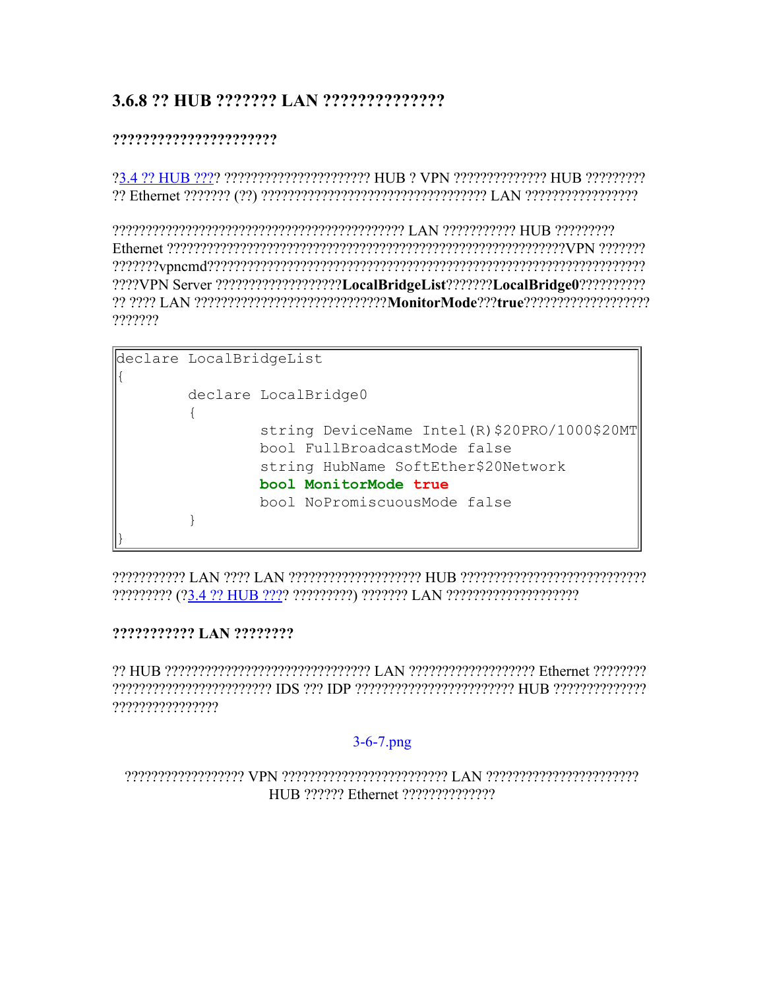# 

#### ???????????????????????

23.4.22 HUB 2222 222222222222222222222 HUB 2 VPN 22222222222222 HUB 222222222 

????VPN Server ?????????????????????LocalBridgeList???????LocalBridge0?????????? 22.2222 LAN 222222222222222222222222222**MonitorMode**222true2222222222222222222222 ???????

```
declare LocalBridgeList
        declare LocalBridge0
                 string DeviceName Intel (R) $20PRO/1000$20MT
                 bool FullBroadcastMode false
                 string HubName SoftEther$20Network
                 bool MonitorMode true
                 bool NoPromiscuousMode false
         \left\{ \right.
```
CAN 2221 LAN 2022 LAN 22222222222 HUB 2222222222223 HUB 2020 222222222223 CONCLUSTER J 

#### ??????????? LAN ????????

Preserveseres HUB erecterveseres and the experiment of the B erecters enterty and the Secter Secter Secter Secter Secter Secter Secter Secter Secter Secter Secter Secter Secter Secter Secter Secter Secter Secter Secter Sec ????????????????

# $3 - 6 - 7$ .png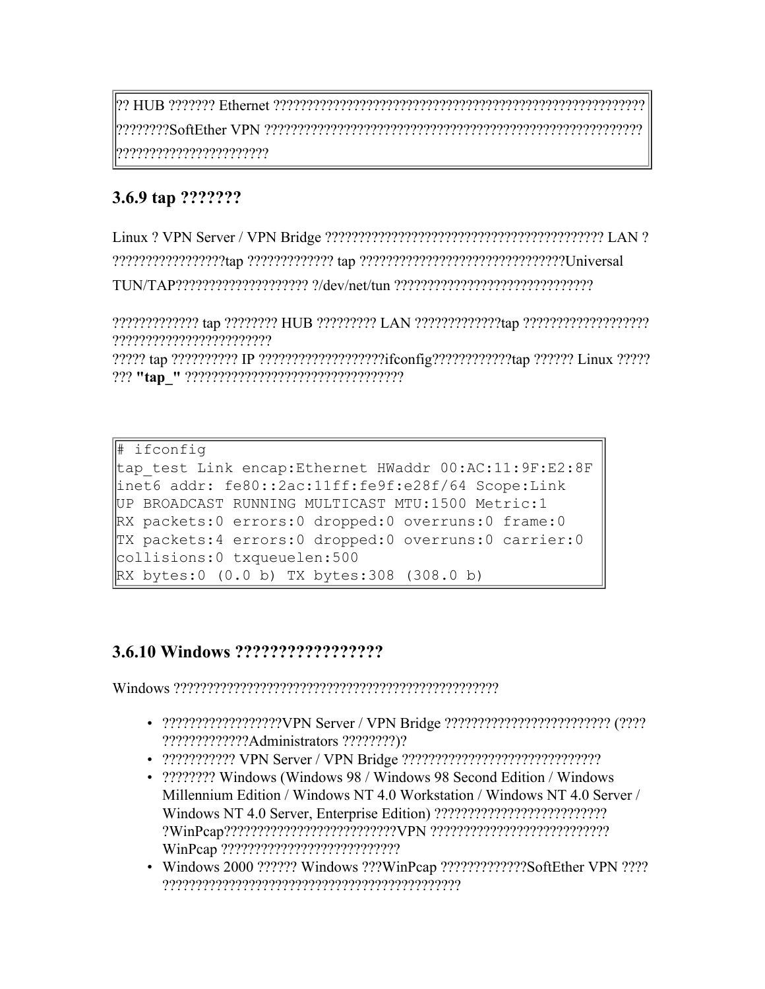?? HUB ??????? Ethernet ???????????????????????????????????????????????????????? ????????SoftEther VPN ????????????????????????????????????????????????????????? ???????????????????????

# **3.6.9 tap ???????**

Linux ? VPN Server / VPN Bridge ?????????????????????????????????????????? LAN ? ?????????????????tap ????????????? tap ???????????????????????????????Universal TUN/TAP???????????????????? ?/dev/net/tun ??????????????????????????????

????????????? tap ???????? HUB ????????? LAN ?????????????tap ??????????????????? ????????????????????????

????? tap ?????????? IP ???????????????????ifconfig????????????tap ?????? Linux ????? ??? **"tap\_"** ?????????????????????????????????

# ifconfig tap\_test Link encap:Ethernet HWaddr 00:AC:11:9F:E2:8F inet6 addr: fe80::2ac:11ff:fe9f:e28f/64 Scope:Link UP BROADCAST RUNNING MULTICAST MTU:1500 Metric:1 RX packets:0 errors:0 dropped:0 overruns:0 frame:0 TX packets:4 errors:0 dropped:0 overruns:0 carrier:0 collisions:0 txqueuelen:500 RX bytes:0 (0.0 b) TX bytes:308 (308.0 b)

# **3.6.10 Windows ?????????????????**

Windows ?????????????????????????????????????????????????

- ??????????????????VPN Server / VPN Bridge ????????????????????????? (???? ?????????????Administrators ????????)?
- ??????????? VPN Server / VPN Bridge ??????????????????????????????
- ???????? Windows (Windows 98 / Windows 98 Second Edition / Windows Millennium Edition / Windows NT 4.0 Workstation / Windows NT 4.0 Server / Windows NT 4.0 Server, Enterprise Edition) ?????????????????????????? ?WinPcap??????????????????????????VPN ??????????????????????????? WinPcap ???????????????????????????
- Windows 2000 ?????? Windows ???WinPcap ????????????SoftEther VPN ???? ?????????????????????????????????????????????